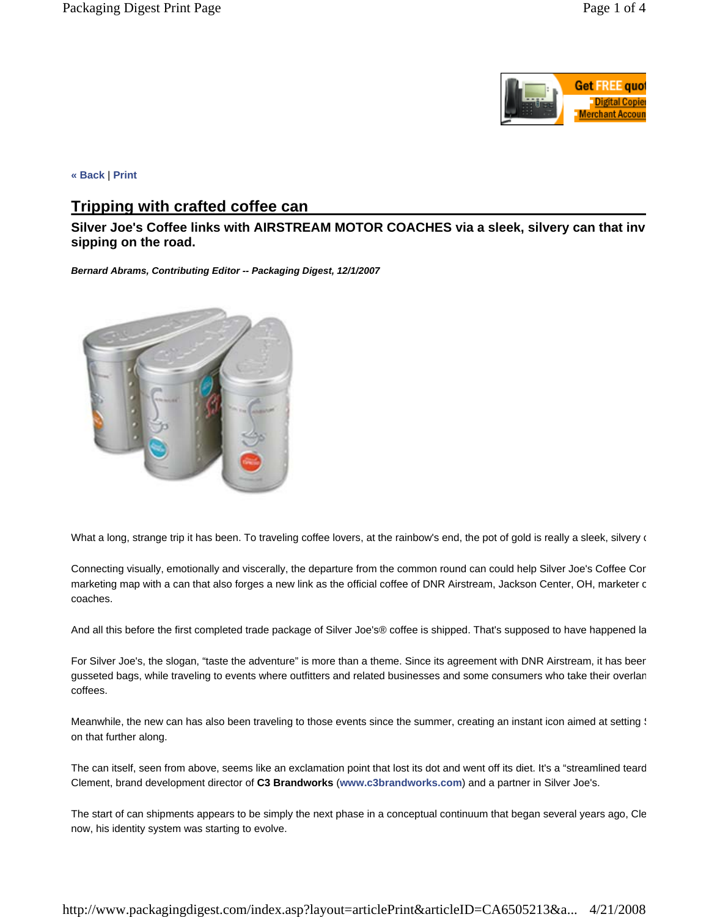

**« Back** | **Print**

## **Tripping with crafted coffee can**

**Silver Joe's Coffee links with AIRSTREAM MOTOR COACHES via a sleek, silvery can that inv sipping on the road.** 

*Bernard Abrams, Contributing Editor -- Packaging Digest, 12/1/2007* 



What a long, strange trip it has been. To traveling coffee lovers, at the rainbow's end, the pot of gold is really a sleek, silvery of

Connecting visually, emotionally and viscerally, the departure from the common round can could help Silver Joe's Coffee Com marketing map with a can that also forges a new link as the official coffee of DNR Airstream, Jackson Center, OH, marketer c coaches.

And all this before the first completed trade package of Silver Joe's® coffee is shipped. That's supposed to have happened la

For Silver Joe's, the slogan, "taste the adventure" is more than a theme. Since its agreement with DNR Airstream, it has been gusseted bags, while traveling to events where outfitters and related businesses and some consumers who take their overlan coffees.

Meanwhile, the new can has also been traveling to those events since the summer, creating an instant icon aimed at setting  $\frac{1}{2}$ on that further along.

The can itself, seen from above, seems like an exclamation point that lost its dot and went off its diet. It's a "streamlined teard Clement, brand development director of **C3 Brandworks** (**www.c3brandworks.com**) and a partner in Silver Joe's.

The start of can shipments appears to be simply the next phase in a conceptual continuum that began several years ago, Cle now, his identity system was starting to evolve.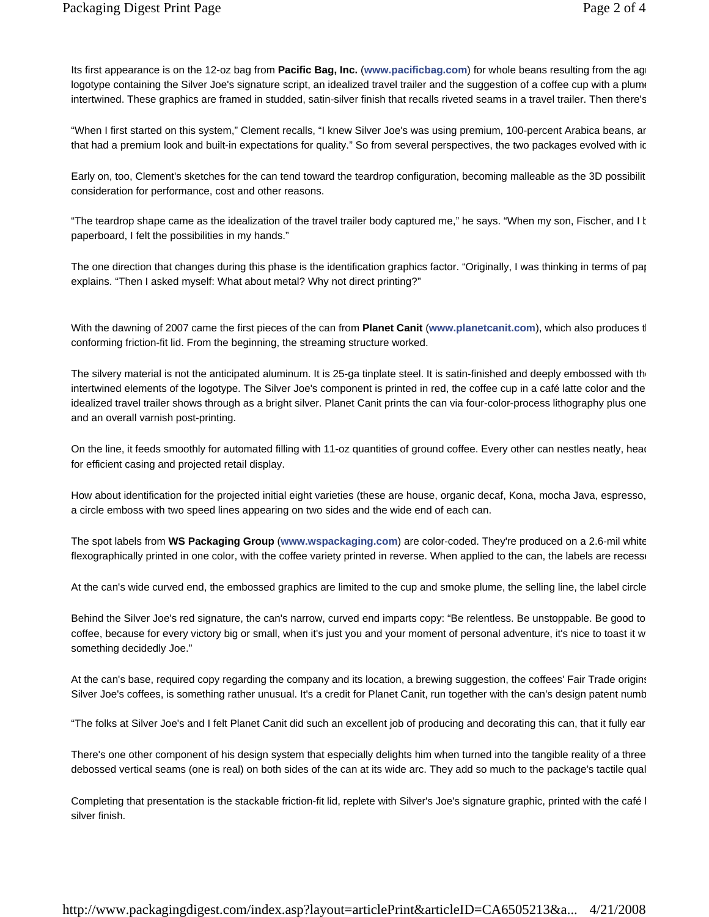Its first appearance is on the 12-oz bag from **Pacific Bag, Inc.** (**www.pacificbag.com**) for whole beans resulting from the agr logotype containing the Silver Joe's signature script, an idealized travel trailer and the suggestion of a coffee cup with a plume intertwined. These graphics are framed in studded, satin-silver finish that recalls riveted seams in a travel trailer. Then there's

"When I first started on this system," Clement recalls, "I knew Silver Joe's was using premium, 100-percent Arabica beans, an that had a premium look and built-in expectations for quality." So from several perspectives, the two packages evolved with ic

Early on, too, Clement's sketches for the can tend toward the teardrop configuration, becoming malleable as the 3D possibilit consideration for performance, cost and other reasons.

"The teardrop shape came as the idealization of the travel trailer body captured me," he says. "When my son, Fischer, and I b paperboard, I felt the possibilities in my hands."

The one direction that changes during this phase is the identification graphics factor. "Originally, I was thinking in terms of pap explains. "Then I asked myself: What about metal? Why not direct printing?"

With the dawning of 2007 came the first pieces of the can from **Planet Canit** (**www.planetcanit.com**), which also produces th conforming friction-fit lid. From the beginning, the streaming structure worked.

The silvery material is not the anticipated aluminum. It is 25-ga tinplate steel. It is satin-finished and deeply embossed with the intertwined elements of the logotype. The Silver Joe's component is printed in red, the coffee cup in a café latte color and the idealized travel trailer shows through as a bright silver. Planet Canit prints the can via four-color-process lithography plus one and an overall varnish post-printing.

On the line, it feeds smoothly for automated filling with 11-oz quantities of ground coffee. Every other can nestles neatly, head for efficient casing and projected retail display.

How about identification for the projected initial eight varieties (these are house, organic decaf, Kona, mocha Java, espresso, a circle emboss with two speed lines appearing on two sides and the wide end of each can.

The spot labels from **WS Packaging Group** (**www.wspackaging.com**) are color-coded. They're produced on a 2.6-mil white flexographically printed in one color, with the coffee variety printed in reverse. When applied to the can, the labels are recesse

At the can's wide curved end, the embossed graphics are limited to the cup and smoke plume, the selling line, the label circle

Behind the Silver Joe's red signature, the can's narrow, curved end imparts copy: "Be relentless. Be unstoppable. Be good to coffee, because for every victory big or small, when it's just you and your moment of personal adventure, it's nice to toast it w something decidedly Joe."

At the can's base, required copy regarding the company and its location, a brewing suggestion, the coffees' Fair Trade origins Silver Joe's coffees, is something rather unusual. It's a credit for Planet Canit, run together with the can's design patent numb

"The folks at Silver Joe's and I felt Planet Canit did such an excellent job of producing and decorating this can, that it fully ear

There's one other component of his design system that especially delights him when turned into the tangible reality of a three debossed vertical seams (one is real) on both sides of the can at its wide arc. They add so much to the package's tactile qual

Completing that presentation is the stackable friction-fit lid, replete with Silver's Joe's signature graphic, printed with the café l silver finish.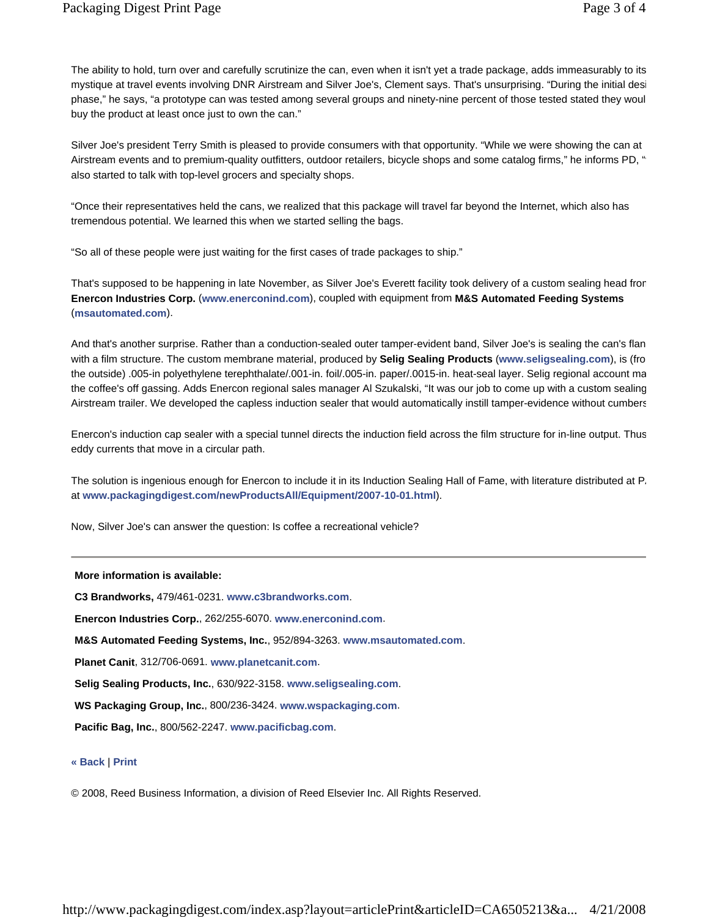The ability to hold, turn over and carefully scrutinize the can, even when it isn't yet a trade package, adds immeasurably to its mystique at travel events involving DNR Airstream and Silver Joe's, Clement says. That's unsurprising. "During the initial desi phase," he says, "a prototype can was tested among several groups and ninety-nine percent of those tested stated they woul buy the product at least once just to own the can."

Silver Joe's president Terry Smith is pleased to provide consumers with that opportunity. "While we were showing the can at Airstream events and to premium-quality outfitters, outdoor retailers, bicycle shops and some catalog firms," he informs PD, " also started to talk with top-level grocers and specialty shops.

"Once their representatives held the cans, we realized that this package will travel far beyond the Internet, which also has tremendous potential. We learned this when we started selling the bags.

"So all of these people were just waiting for the first cases of trade packages to ship."

That's supposed to be happening in late November, as Silver Joe's Everett facility took delivery of a custom sealing head from **Enercon Industries Corp.** (**www.enerconind.com**), coupled with equipment from **M&S Automated Feeding Systems** (**msautomated.com**).

And that's another surprise. Rather than a conduction-sealed outer tamper-evident band, Silver Joe's is sealing the can's flan with a film structure. The custom membrane material, produced by **Selig Sealing Products** (**www.seligsealing.com**), is (fro the outside) .005-in polyethylene terephthalate/.001-in. foil/.005-in. paper/.0015-in. heat-seal layer. Selig regional account ma the coffee's off gassing. Adds Enercon regional sales manager Al Szukalski, "It was our job to come up with a custom sealing Airstream trailer. We developed the capless induction sealer that would automatically instill tamper-evidence without cumbers

Enercon's induction cap sealer with a special tunnel directs the induction field across the film structure for in-line output. Thus eddy currents that move in a circular path.

The solution is ingenious enough for Enercon to include it in its Induction Sealing Hall of Fame, with literature distributed at P. at **www.packagingdigest.com/newProductsAll/Equipment/2007-10-01.html**).

Now, Silver Joe's can answer the question: Is coffee a recreational vehicle?

## **More information is available:**

**C3 Brandworks,** 479/461-0231. **www.c3brandworks.com**.

**Enercon Industries Corp.**, 262/255-6070. **www.enerconind.com**.

**M&S Automated Feeding Systems, Inc.**, 952/894-3263. **www.msautomated.com**.

**Planet Canit**, 312/706-0691. **www.planetcanit.com**.

**Selig Sealing Products, Inc.**, 630/922-3158. **www.seligsealing.com**.

**WS Packaging Group, Inc.**, 800/236-3424. **www.wspackaging.com**.

**Pacific Bag, Inc.**, 800/562-2247. **www.pacificbag.com**.

## **« Back** | **Print**

© 2008, Reed Business Information, a division of Reed Elsevier Inc. All Rights Reserved.